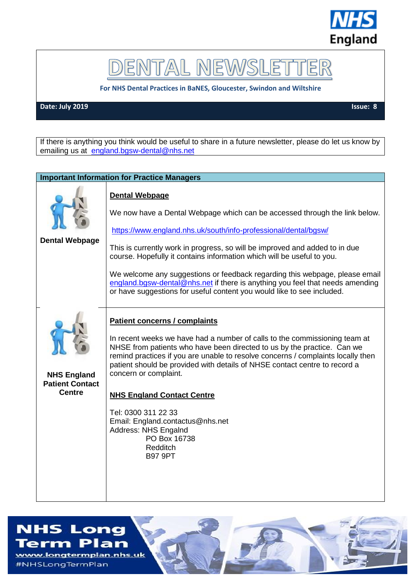

## DENTAL NEWSLET ER

**For NHS Dental Practices in BaNES, Gloucester, Swindon and Wiltshire**

**Date: July 2019** Issue: 8

If there is anything you think would be useful to share in a future newsletter, please do let us know by emailing us at [england.bgsw-dental@nhs.net](mailto:england.bgsw-dental@nhs.net)

| <b>Important Information for Practice Managers</b>            |                                                                                                                                                                                                                                                                                                                                                                                                                                                                                                                                                                           |  |
|---------------------------------------------------------------|---------------------------------------------------------------------------------------------------------------------------------------------------------------------------------------------------------------------------------------------------------------------------------------------------------------------------------------------------------------------------------------------------------------------------------------------------------------------------------------------------------------------------------------------------------------------------|--|
| <b>Dental Webpage</b>                                         | <b>Dental Webpage</b><br>We now have a Dental Webpage which can be accessed through the link below.<br>https://www.england.nhs.uk/south/info-professional/dental/bgsw/<br>This is currently work in progress, so will be improved and added to in due<br>course. Hopefully it contains information which will be useful to you.<br>We welcome any suggestions or feedback regarding this webpage, please email<br>england.bgsw-dental@nhs.net if there is anything you feel that needs amending<br>or have suggestions for useful content you would like to see included. |  |
| <b>NHS England</b><br><b>Patient Contact</b><br><b>Centre</b> | <b>Patient concerns / complaints</b><br>In recent weeks we have had a number of calls to the commissioning team at<br>NHSE from patients who have been directed to us by the practice. Can we<br>remind practices if you are unable to resolve concerns / complaints locally then<br>patient should be provided with details of NHSE contact centre to record a<br>concern or complaint.<br><b>NHS England Contact Centre</b><br>Tel: 0300 311 22 33<br>Email: England.contactus@nhs.net<br>Address: NHS Engalnd<br>PO Box 16738<br>Redditch<br><b>B97 9PT</b>            |  |

## **NHS Long**

Term Plan www.longtermplan.nhs.uk #NHSLongTermPlan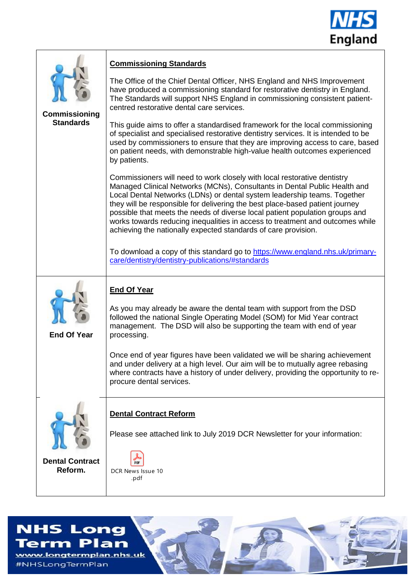

| Commissioning<br><b>Standards</b> | <b>Commissioning Standards</b><br>The Office of the Chief Dental Officer, NHS England and NHS Improvement<br>have produced a commissioning standard for restorative dentistry in England.<br>The Standards will support NHS England in commissioning consistent patient-<br>centred restorative dental care services.<br>This guide aims to offer a standardised framework for the local commissioning<br>of specialist and specialised restorative dentistry services. It is intended to be<br>used by commissioners to ensure that they are improving access to care, based<br>on patient needs, with demonstrable high-value health outcomes experienced<br>by patients.<br>Commissioners will need to work closely with local restorative dentistry<br>Managed Clinical Networks (MCNs), Consultants in Dental Public Health and<br>Local Dental Networks (LDNs) or dental system leadership teams. Together<br>they will be responsible for delivering the best place-based patient journey<br>possible that meets the needs of diverse local patient population groups and<br>works towards reducing inequalities in access to treatment and outcomes while<br>achieving the nationally expected standards of care provision. |
|-----------------------------------|-------------------------------------------------------------------------------------------------------------------------------------------------------------------------------------------------------------------------------------------------------------------------------------------------------------------------------------------------------------------------------------------------------------------------------------------------------------------------------------------------------------------------------------------------------------------------------------------------------------------------------------------------------------------------------------------------------------------------------------------------------------------------------------------------------------------------------------------------------------------------------------------------------------------------------------------------------------------------------------------------------------------------------------------------------------------------------------------------------------------------------------------------------------------------------------------------------------------------------------|
|                                   | To download a copy of this standard go to https://www.england.nhs.uk/primary-<br>care/dentistry/dentistry-publications/#standards                                                                                                                                                                                                                                                                                                                                                                                                                                                                                                                                                                                                                                                                                                                                                                                                                                                                                                                                                                                                                                                                                                   |
| <b>End Of Year</b>                | <b>End Of Year</b><br>As you may already be aware the dental team with support from the DSD<br>followed the national Single Operating Model (SOM) for Mid Year contract<br>management. The DSD will also be supporting the team with end of year<br>processing.<br>Once end of year figures have been validated we will be sharing achievement<br>and under delivery at a high level. Our aim will be to mutually agree rebasing<br>where contracts have a history of under delivery, providing the opportunity to re-<br>procure dental services.                                                                                                                                                                                                                                                                                                                                                                                                                                                                                                                                                                                                                                                                                  |
| <b>Dental Contract</b><br>Reform. | <b>Dental Contract Reform</b><br>Please see attached link to July 2019 DCR Newsletter for your information:<br>DCR News Issue 10<br>.pdf                                                                                                                                                                                                                                                                                                                                                                                                                                                                                                                                                                                                                                                                                                                                                                                                                                                                                                                                                                                                                                                                                            |

## **NHS Long Term Plan**

www.longtermplan.nhs.uk #NHSLongTermPlan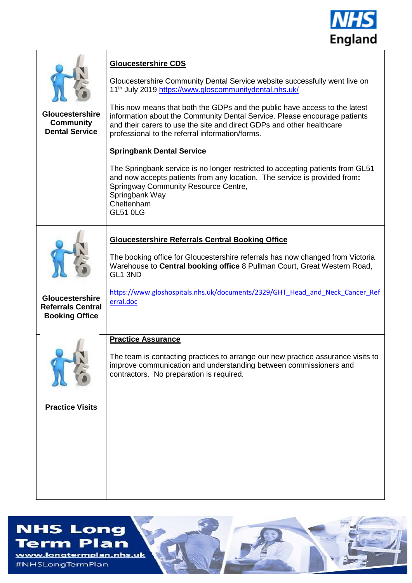

| <b>Gloucestershire</b><br><b>Community</b><br><b>Dental Service</b>         | <b>Gloucestershire CDS</b><br>Gloucestershire Community Dental Service website successfully went live on<br>11 <sup>th</sup> July 2019 https://www.gloscommunitydental.nhs.uk/<br>This now means that both the GDPs and the public have access to the latest<br>information about the Community Dental Service. Please encourage patients<br>and their carers to use the site and direct GDPs and other healthcare<br>professional to the referral information/forms.<br><b>Springbank Dental Service</b><br>The Springbank service is no longer restricted to accepting patients from GL51<br>and now accepts patients from any location. The service is provided from:<br>Springway Community Resource Centre,<br>Springbank Way<br>Cheltenham<br><b>GL51 0LG</b> |
|-----------------------------------------------------------------------------|---------------------------------------------------------------------------------------------------------------------------------------------------------------------------------------------------------------------------------------------------------------------------------------------------------------------------------------------------------------------------------------------------------------------------------------------------------------------------------------------------------------------------------------------------------------------------------------------------------------------------------------------------------------------------------------------------------------------------------------------------------------------|
| <b>Gloucestershire</b><br><b>Referrals Central</b><br><b>Booking Office</b> | <b>Gloucestershire Referrals Central Booking Office</b><br>The booking office for Gloucestershire referrals has now changed from Victoria<br>Warehouse to Central booking office 8 Pullman Court, Great Western Road,<br>GL1 3ND<br>https://www.gloshospitals.nhs.uk/documents/2329/GHT Head and Neck Cancer Ref<br>erral.doc                                                                                                                                                                                                                                                                                                                                                                                                                                       |
| <b>Practice Visits</b>                                                      | <b>Practice Assurance</b><br>The team is contacting practices to arrange our new practice assurance visits to<br>improve communication and understanding between commissioners and<br>contractors. No preparation is required.                                                                                                                                                                                                                                                                                                                                                                                                                                                                                                                                      |

## **NHS Long**

**Term Plan** www.longtermplan.nhs.uk #NHSLongTermPlan